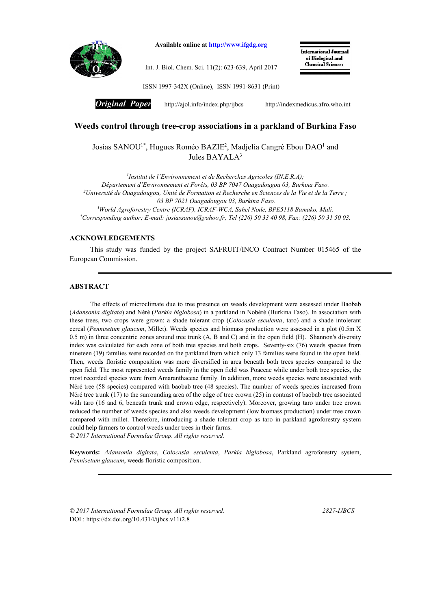

Available online at http://www.ifgdg.org

Int. J. Biol. Chem. Sci. 11(2): 623-639, April 2017

International Journal of Biological and **Chemical Sciences** 

ISSN 1997-342X (Online), ISSN 1991-8631 (Print)

*Original Paper* http://ajol.info/index.php/ijbcshttp://indexmedicus.afro.who.int

# Weeds control through tree-crop associations in a parkland of Burkina Faso

Josias SANOU<sup>1\*</sup>, Hugues Roméo BAZIE<sup>2</sup>, Madjelia Cangré Ebou DAO<sup>1</sup> and Jules BAYALA3

*1 Institut de l'Environnement et de Recherches Agricoles (IN.E.R.A); Département d'Environnement et Forêts, 03 BP 7047 Ouagadougou 03, Burkina Faso. 2Université de Ouagadougou, Unité de Formation et Recherche en Sciences de la Vie et de la Terre ; 03 BP 7021 Ouagadougou 03, Burkina Faso. 3World Agroforestry Centre (ICRAF), ICRAF-WCA, Sahel Node, BPE5118 Bamako, Mali.*

*\*Corresponding author; E-mail: josiassanou@yahoo.fr; Tel (226) 50 33 40 98, Fax: (226) 50 31 50 03.*

# ACKNOWLEDGEMENTS

This study was funded by the project SAFRUIT/INCO Contract Number 015465 of the European Commission.

### ABSTRACT

The effects of microclimate due to tree presence on weeds development were assessed under Baobab (*Adansonia digitata*) and Néré (*Parkia biglobosa*) in a parkland in Nobéré (Burkina Faso). In association with these trees, two crops were grown: a shade tolerant crop (*Colocasia esculenta*, taro) and a shade intolerant cereal (*Pennisetum glaucum*, Millet). Weeds species and biomass production were assessed in a plot (0.5m X 0.5 m) in three concentric zones around tree trunk (A, B and C) and in the open field (H). Shannon's diversity index was calculated for each zone of both tree species and both crops. Seventy-six (76) weeds species from nineteen (19) families were recorded on the parkland from which only 13 families were found in the open field. Then, weeds floristic composition was more diversified in area beneath both trees species compared to the open field. The most represented weeds family in the open field was Poaceae while under both tree species, the most recorded species were from Amaranthaceae family. In addition, more weeds species were associated with Néré tree (58 species) compared with baobab tree (48 species). The number of weeds species increased from Néré tree trunk (17) to the surrounding area of the edge of tree crown (25) in contrast of baobab tree associated with taro (16 and 6, beneath trunk and crown edge, respectively). Moreover, growing taro under tree crown reduced the number of weeds species and also weeds development (low biomass production) under tree crown compared with millet. Therefore, introducing a shade tolerant crop as taro in parkland agroforestry system could help farmers to control weeds under trees in their farms.

*© 2017 International Formulae Group. All rights reserved.*

Keywords: *Adansonia digitata*, *Colocasia esculenta*, *Parkia biglobosa*, Parkland agroforestry system, *Pennisetum glaucum*, weeds floristic composition.

*© 2017 International Formulae Group. All rights reserved. 2827-IJBCS* DOI : https://dx.doi.org/10.4314/ijbcs.v11i2.8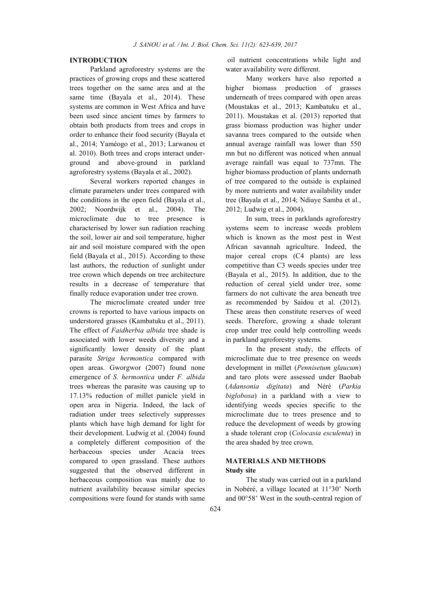## INTRODUCTION

Parkland agroforestry systems are the practices of growing crops and these scattered trees together on the same area and at the same time (Bayala et al., 2014). These systems are common in West Africa and have been used since ancient times by farmers to obtain both products from trees and crops in order to enhance their food security (Bayala et al., 2014; Yaméogo et al., 2013; Larwanou et al. 2010). Both trees and crops interact underground and above-ground in parkland agroforestry systems (Bayala et al., 2002).

Several workers reported changes in climate parameters under trees compared with the conditions in the open field (Bayala et al., 2002; Noordwijk et al., 2004). The microclimate due to tree presence is characterised by lower sun radiation reaching the soil, lower air and soil temperature, higher air and soil moisture compared with the open field (Bayala et al., 2015). According to these last authors, the reduction of sunlight under tree crown which depends on tree architecture results in a decrease of temperature that finally reduce evaporation under tree crown.

The microclimate created under tree crowns is reported to have various impacts on understored grasses (Kambatuku et al., 2011). The effect of *Faidherbia albida* tree shade is associated with lower weeds diversity and a significantly lower density of the plant parasite *Striga hermontica* compared with open areas. Gworgwor (2007) found none emergence of *S. hermontica* under *F. albida* trees whereas the parasite was causing up to 17.13% reduction of millet panicle yield in open area in Nigeria. Indeed, the lack of radiation under trees selectively suppresses plants which have high demand for light for their development. Ludwig et al. (2004) found a completely different composition of the herbaceous species under Acacia trees compared to open grassland. These authors suggested that the observed different in herbaceous composition was mainly due to nutrient availability because similar species compositions were found for stands with same

oil nutrient concentrations while light and water availability were different.

Many workers have also reported a higher biomass production of grasses underneath of trees compared with open areas (Moustakas et al., 2013; Kambatuku et al., 2011). Moustakas et al. (2013) reported that grass biomass production was higher under savanna trees compared to the outside when annual average rainfall was lower than 550 mn but no different was noticed when annual average rainfall was equal to 737mn. The higher biomass production of plants undernath of tree compared to the outside is explained by more nutrients and water availability under tree (Bayala et al., 2014; Ndiaye Samba et al., 2012; Ludwig et al., 2004).

In sum, trees in parklands agroforestry systems seem to increase weeds problem which is known as the most pest in West African savannah agriculture. Indeed, the major cereal crops (C4 plants) are less competitive than C3 weeds species under tree (Bayala et al., 2015). In addition, due to the reduction of cereal yield under tree, some farmers do not cultivate the area beneath tree as recommended by Saidou et al. (2012). These areas then constitute reserves of weed seeds. Therefore, growing a shade tolerant crop under tree could help controlling weeds in parkland agroforestry systems.

In the present study, the effects of microclimate due to tree presence on weeds development in millet (*Pennisetum glaucum*) and taro plots were assessed under Baobab (*Adansonia digitata*) and Néré (*Parkia biglobosa*) in a parkland with a view to identifying weeds species specific to the microclimate due to trees presence and to reduce the development of weeds by growing a shade tolerant crop (*Colocasia esculenta*) in the area shaded by tree crown.

# MATERIALS AND METHODS Study site

The study was carried out in a parkland in Nobéré, a village located at 11°30' North and 00°58' West in the south-central region of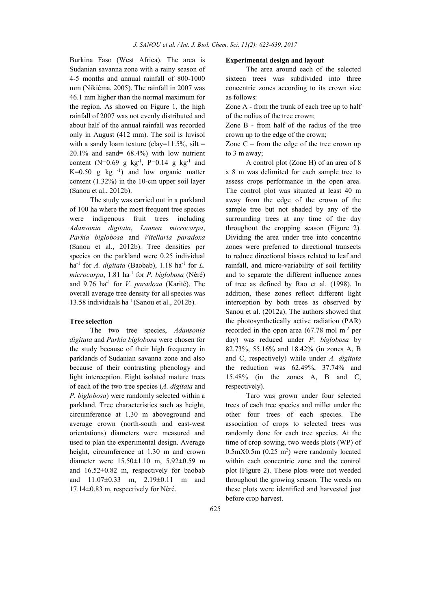Burkina Faso (West Africa). The area is Sudanian savanna zone with a rainy season of 4-5 months and annual rainfall of 800-1000 mm (Nikiéma, 2005). The rainfall in 2007 was 46.1 mm higher than the normal maximum for the region. As showed on Figure 1, the high rainfall of 2007 was not evenly distributed and about half of the annual rainfall was recorded only in August (412 mm). The soil is luvisol with a sandy loam texture (clay= $11.5\%$ , silt = 20.1% and sand= 68.4%) with low nutrient content (N=0.69 g  $kg^{-1}$ , P=0.14 g  $kg^{-1}$  and  $K=0.50$  g kg  $^{-1}$ ) and low organic matter content (1.32%) in the 10-cm upper soil layer (Sanou et al., 2012b).

The study was carried out in a parkland of 100 ha where the most frequent tree species were indigenous fruit trees including *Adansonia digitata*, *Lannea microcarpa*, *Parkia biglobosa* and *Vitellaria paradoxa* (Sanou et al., 2012b). Tree densities per species on the parkland were 0.25 individual ha<sup>-1</sup> for *A. digitata* (Baobab),  $1.18$  ha<sup>-1</sup> for *L. microcarpa*, 1.81 ha-1 for *P. biglobosa* (Néré) and 9.76 ha-1 for *V. paradoxa* (Karité). The overall average tree density for all species was 13.58 individuals ha-1 (Sanou et al., 2012b).

## Tree selection

The two tree species, *Adansonia digitata* and *Parkia biglobosa* were chosen for the study because of their high frequency in parklands of Sudanian savanna zone and also because of their contrasting phenology and light interception. Eight isolated mature trees of each of the two tree species (*A. digitata* and *P. biglobosa*) were randomly selected within a parkland. Tree characteristics such as height, circumference at 1.30 m aboveground and average crown (north-south and east-west orientations) diameters were measured and used to plan the experimental design. Average height, circumference at 1.30 m and crown diameter were 15.50±1.10 m, 5.92±0.59 m and 16.52±0.82 m, respectively for baobab and 11.07±0.33 m, 2.19±0.11 m and 17.14±0.83 m, respectively for Néré.

#### Experimental design and layout

The area around each of the selected sixteen trees was subdivided into three concentric zones according to its crown size as follows:

Zone A - from the trunk of each tree up to half of the radius of the tree crown;

Zone B - from half of the radius of the tree crown up to the edge of the crown;

Zone  $C$  – from the edge of the tree crown up to 3 m away;

A control plot (Zone H) of an area of 8 x 8 m was delimited for each sample tree to assess crops performance in the open area. The control plot was situated at least 40 m away from the edge of the crown of the sample tree but not shaded by any of the surrounding trees at any time of the day throughout the cropping season (Figure 2). Dividing the area under tree into concentric zones were preferred to directional transects to reduce directional biases related to leaf and rainfall, and micro-variability of soil fertility and to separate the different influence zones of tree as defined by Rao et al. (1998). In addition, these zones reflect different light interception by both trees as observed by Sanou et al. (2012a). The authors showed that the photosynthetically active radiation (PAR) recorded in the open area  $(67.78 \text{ mol m}^2 \text{ per})$ day) was reduced under *P. biglobosa* by 82.73%, 55.16% and 18.42% (in zones A, B and C, respectively) while under *A. digitata*  the reduction was 62.49%, 37.74% and 15.48% (in the zones A, B and C, respectively).

Taro was grown under four selected trees of each tree species and millet under the other four trees of each species. The association of crops to selected trees was randomly done for each tree species. At the time of crop sowing, two weeds plots (WP) of  $0.5$ mX $0.5$ m $(0.25 \text{ m}^2)$  were randomly located within each concentric zone and the control plot (Figure 2). These plots were not weeded throughout the growing season. The weeds on these plots were identified and harvested just before crop harvest.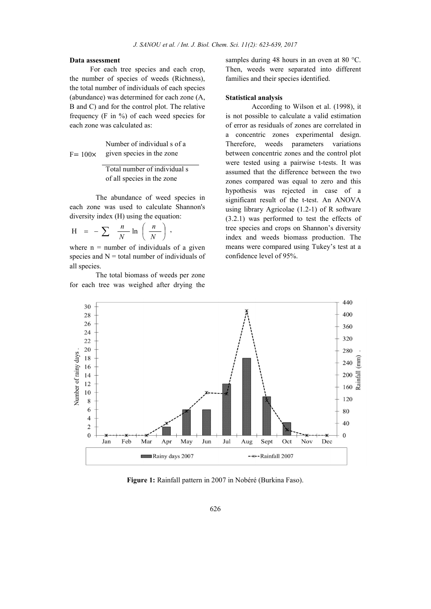## Data assessment

For each tree species and each crop, the number of species of weeds (Richness), the total number of individuals of each species (abundance) was determined for each zone (A, B and C) and for the control plot. The relative frequency (F in %) of each weed species for each zone was calculated as:

 $F= 100\times$ Number of individual s of a given species in the zone

> Total number of individual s of all species in the zone

The abundance of weed species in each zone was used to calculate Shannon's diversity index (H) using the equation:

$$
H = -\sum \frac{n}{N} \ln \left( \frac{n}{N} \right),
$$

where  $n =$  number of individuals of a given species and  $N =$  total number of individuals of all species.

The total biomass of weeds per zone for each tree was weighed after drying the

samples during 48 hours in an oven at 80 °C. Then, weeds were separated into different families and their species identified.

### Statistical analysis

According to Wilson et al. (1998), it is not possible to calculate a valid estimation of error as residuals of zones are correlated in a concentric zones experimental design. Therefore, weeds parameters variations between concentric zones and the control plot were tested using a pairwise t-tests. It was assumed that the difference between the two zones compared was equal to zero and this hypothesis was rejected in case of a significant result of the t-test. An ANOVA using library Agricolae (1.2-1) of R software (3.2.1) was performed to test the effects of tree species and crops on Shannon's diversity index and weeds biomass production. The means were compared using Tukey's test at a confidence level of 95%.



Figure 1: Rainfall pattern in 2007 in Nobéré (Burkina Faso).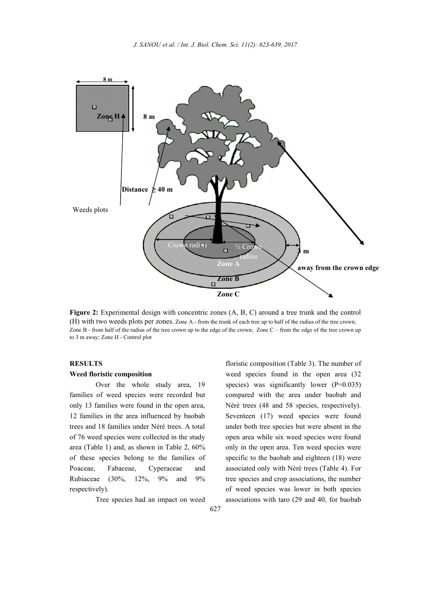

Figure 2: Experimental design with concentric zones (A, B, C) around a tree trunk and the control (H) with two weeds plots per zones. Zone A - from the trunk of each tree up to half of the radius of the tree crown; Zone B - from half of the radius of the tree crown up to the edge of the crown; Zone C – from the edge of the tree crown up to 3 m away; Zone H - Control plot

# **RESULTS**

#### Weed floristic composition

Over the whole study area, 19 families of weed species were recorded but only 13 families were found in the open area, 12 families in the area influenced by baobab trees and 18 families under Néré trees. A total of 76 weed species were collected in the study area (Table 1) and, as shown in Table 2, 60% of these species belong to the families of Poaceae, Fabaceae, Cyperaceae and Rubiaceae (30%, 12%, 9% and 9% respectively).

Tree species had an impact on weed

floristic composition (Table 3). The number of weed species found in the open area (32 species) was significantly lower  $(P=0.035)$ compared with the area under baobab and Néré trees (48 and 58 species, respectively). Seventeen (17) weed species were found under both tree species but were absent in the open area while six weed species were found only in the open area. Ten weed species were specific to the baobab and eighteen (18) were associated only with Néré trees (Table 4). For tree species and crop associations, the number of weed species was lower in both species associations with taro (29 and 40, for baobab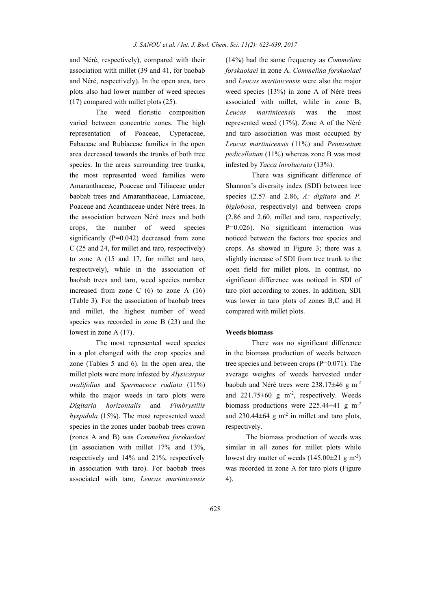and Néré, respectively), compared with their association with millet (39 and 41, for baobab and Néré, respectively). In the open area, taro plots also had lower number of weed species (17) compared with millet plots (25).

The weed floristic composition varied between concentric zones. The high representation of Poaceae, Cyperaceae, Fabaceae and Rubiaceae families in the open area decreased towards the trunks of both tree species. In the areas surrounding tree trunks, the most represented weed families were Amaranthaceae, Poaceae and Tiliaceae under baobab trees and Amaranthaceae, Lamiaceae, Poaceae and Acanthaceae under Néré trees. In the association between Néré trees and both crops, the number of weed species significantly (P=0.042) decreased from zone C (25 and 24, for millet and taro, respectively) to zone A (15 and 17, for millet and taro, respectively), while in the association of baobab trees and taro, weed species number increased from zone C  $(6)$  to zone A  $(16)$ (Table 3). For the association of baobab trees and millet, the highest number of weed species was recorded in zone B (23) and the lowest in zone A (17).

The most represented weed species in a plot changed with the crop species and zone (Tables 5 and 6). In the open area, the millet plots were more infested by *Alysicarpus ovalifolius* and *Spermacoce radiata* (11%) while the major weeds in taro plots were *Digitaria horizontalis* and *Fimbrystilis hyspidula* (15%). The most represented weed species in the zones under baobab trees crown (zones A and B) was *Commelina forskaolaei*  (in association with millet 17% and 13%, respectively and 14% and 21%, respectively in association with taro). For baobab trees associated with taro, *Leucas martinicensis*

(14%) had the same frequency as *Commelina forskaolaei* in zone A. *Commelina forskaolaei*  and *Leucas martinicensis* were also the major weed species (13%) in zone A of Néré trees associated with millet, while in zone B, *Leucas martinicensis* was the most represented weed (17%). Zone A of the Néré and taro association was most occupied by *Leucas martinicensis* (11%) and *Pennisetum pedicellatum* (11%) whereas zone B was most infested by *Tacca involucrata* (13%).

There was significant difference of Shannon's diversity index (SDI) between tree species (2.57 and 2.86, *A: digitata* and *P. biglobosa*, respectively) and between crops (2.86 and 2.60, millet and taro, respectively; P=0.026). No significant interaction was noticed between the factors tree species and crops. As showed in Figure 3; there was a slightly increase of SDI from tree trunk to the open field for millet plots. In contrast, no significant difference was noticed in SDI of taro plot according to zones. In addition, SDI was lower in taro plots of zones B,C and H compared with millet plots.

### Weeds biomass

There was no significant difference in the biomass production of weeds between tree species and between crops (P=0.071). The average weights of weeds harvested under baobab and Néré trees were 238.17±46 g m-2 and  $221.75 \pm 60$  g m<sup>-2</sup>, respectively. Weeds biomass productions were 225.44±41 g m-2 and  $230.44\pm64$  g m<sup>-2</sup> in millet and taro plots, respectively.

The biomass production of weeds was similar in all zones for millet plots while lowest dry matter of weeds  $(145.00 \pm 21 \text{ g m}^{-2})$ was recorded in zone A for taro plots (Figure 4).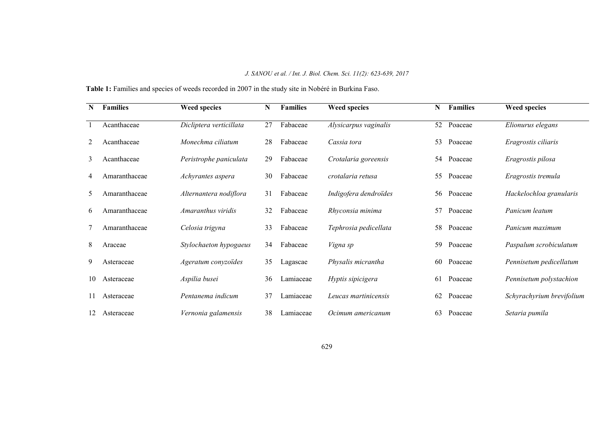# *J. SANOU et al. / Int. J. Biol. Chem. Sci. 11(2): 623-639, 2017*

Table 1: Families and species of weeds recorded in 2007 in the study site in Nobéré in Burkina Faso.

| N  | <b>Families</b> | <b>Weed species</b>     | N  | <b>Families</b> | <b>Weed species</b>   | N  | <b>Families</b> | <b>Weed species</b>       |
|----|-----------------|-------------------------|----|-----------------|-----------------------|----|-----------------|---------------------------|
|    | Acanthaceae     | Dicliptera verticillata | 27 | Fabaceae        | Alysicarpus vaginalis | 52 | Poaceae         | Elionurus elegans         |
| 2  | Acanthaceae     | Monechma ciliatum       | 28 | Fabaceae        | Cassia tora           | 53 | Poaceae         | Eragrostis ciliaris       |
| 3  | Acanthaceae     | Peristrophe paniculata  | 29 | Fabaceae        | Crotalaria goreensis  | 54 | Poaceae         | Eragrostis pilosa         |
| 4  | Amaranthaceae   | Achyrantes aspera       | 30 | Fabaceae        | crotalaria retusa     | 55 | Poaceae         | Eragrostis tremula        |
| 5  | Amaranthaceae   | Alternantera nodiflora  | 31 | Fabaceae        | Indigofera dendroïdes | 56 | Poaceae         | Hackelochloa granularis   |
| 6  | Amaranthaceae   | Amaranthus viridis      | 32 | Fabaceae        | Rhyconsia minima      | 57 | Poaceae         | Panicum leatum            |
|    | Amaranthaceae   | Celosia trigyna         | 33 | Fabaceae        | Tephrosia pedicellata | 58 | Poaceae         | Panicum maximum           |
| 8  | Araceae         | Stylochaeton hypogaeus  | 34 | Fabaceae        | Vigna sp              | 59 | Poaceae         | Paspalum scrobiculatum    |
| 9  | Asteraceae      | Ageratum conyzoïdes     | 35 | Lagascae        | Physalis micrantha    | 60 | Poaceae         | Pennisetum pedicellatum   |
| 10 | Asteraceae      | Aspilia busei           | 36 | Lamiaceae       | Hyptis sipicigera     | 61 | Poaceae         | Pennisetum polystachion   |
|    | Asteraceae      | Pentanema indicum       | 37 | Lamiaceae       | Leucas martinicensis  | 62 | Poaceae         | Schyrachyrium brevifolium |
|    | Asteraceae      | Vernonia galamensis     | 38 | Lamiaceae       | Ocimum americanum     | 63 | Poaceae         | Setaria pumila            |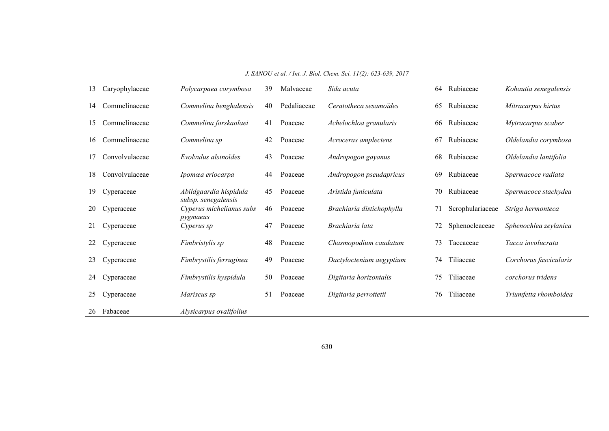*J. SANOU et al. / Int. J. Biol. Chem. Sci. 11(2): 623-639, 2017*

| 13  | Caryophylaceae | Polycarpaea corymbosa                         | 39 | Malvaceae   | Sida acuta                | 64 | Rubiaceae        | Kohautia senegalensis  |
|-----|----------------|-----------------------------------------------|----|-------------|---------------------------|----|------------------|------------------------|
| 14  | Commelinaceae  | Commelina benghalensis                        | 40 | Pedaliaceae | Ceratotheca sesamoïdes    | 65 | Rubiaceae        | Mitracarpus hirtus     |
| 15  | Commelinaceae  | Commelina forskaolaei                         | 41 | Poaceae     | Achelochloa granularis    | 66 | Rubiaceae        | Mytracarpus scaber     |
| 16  | Commelinaceae  | Commelina sp                                  | 42 | Poaceae     | Acroceras amplectens      | 67 | Rubiaceae        | Oldelandia corymbosa   |
| 17  | Convolvulaceae | Evolvulus alsinoïdes                          | 43 | Poaceae     | Andropogon gayanus        | 68 | Rubiaceae        | Oldelandia lantifolia  |
| 18. | Convolvulaceae | Ipomœa eriocarpa                              | 44 | Poaceae     | Andropogon pseudapricus   | 69 | Rubiaceae        | Spermacoce radiata     |
| 19  | Cyperaceae     | Abildgaardia hispidula<br>subsp. senegalensis | 45 | Poaceae     | Aristida funiculata       | 70 | Rubiaceae        | Spermacoce stachydea   |
| 20  | Cyperaceae     | Cyperus michelianus subs                      | 46 | Poaceae     | Brachiaria distichophylla | 71 | Scrophulariaceae | Striga hermonteca      |
| 21  | Cyperaceae     | pygmaeus<br>Cyperus sp                        | 47 | Poaceae     | Brachiaria lata           | 72 | Sphenocleaceae   | Sphenochlea zeylanica  |
| 22  | Cyperaceae     | Fimbristylis sp                               | 48 | Poaceae     | Chasmopodium caudatum     | 73 | Taccaceae        | Tacca involucrata      |
| 23  | Cyperaceae     | Fimbrystilis ferruginea                       | 49 | Poaceae     | Dactyloctenium aegyptium  | 74 | Tiliaceae        | Corchorus fascicularis |
| 24  | Cyperaceae     | Fimbrystilis hyspidula                        | 50 | Poaceae     | Digitaria horizontalis    | 75 | Tiliaceae        | corchorus tridens      |
| 25  | Cyperaceae     | Mariscus sp                                   | 51 | Poaceae     | Digitaria perrottetii     | 76 | Tiliaceae        | Triumfetta rhomboidea  |
| 26  | Fabaceae       | Alysicarpus ovalifolius                       |    |             |                           |    |                  |                        |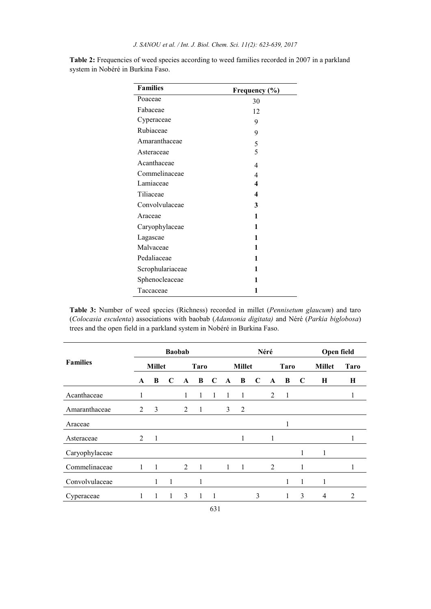| <b>Families</b>  | Frequency (%)           |
|------------------|-------------------------|
| Poaceae          | 30                      |
| Fabaceae         | 12                      |
| Cyperaceae       | 9                       |
| Rubiaceae        | 9                       |
| Amaranthaceae    | 5                       |
| Asteraceae       | 5                       |
| Acanthaceae      | $\overline{4}$          |
| Commelinaceae    | $\overline{4}$          |
| Lamiaceae        | 4                       |
| Tiliaceae        | $\overline{\mathbf{4}}$ |
| Convolvulaceae   | 3                       |
| Araceae          | 1                       |
| Caryophylaceae   | 1                       |
| Lagascae         | 1                       |
| Malvaceae        | 1                       |
| Pedaliaceae      | 1                       |
| Scrophulariaceae | 1                       |
| Sphenocleaceae   | 1                       |
| Taccaceae        | 1                       |

Table 2: Frequencies of weed species according to weed families recorded in 2007 in a parkland system in Nobéré in Burkina Faso.

Table 3: Number of weed species (Richness) recorded in millet (*Pennisetum glaucum*) and taro (*Colocasia esculenta*) associations with baobab (*Adansonia digitata)* and Néré (*Parkia biglobosa*) trees and the open field in a parkland system in Nobéré in Burkina Faso.

 $\overline{a}$ 

|                 | <b>Baobab</b>  |   |             |                |             |             |              |                | Néré        | Open field     |             |   |               |             |
|-----------------|----------------|---|-------------|----------------|-------------|-------------|--------------|----------------|-------------|----------------|-------------|---|---------------|-------------|
| <b>Families</b> | <b>Millet</b>  |   |             |                | <b>Taro</b> |             |              | <b>Millet</b>  |             |                | <b>Taro</b> |   | <b>Millet</b> | <b>Taro</b> |
|                 | $\mathbf{A}$   | B | $\mathbf C$ | $\mathbf{A}$   | B           | $\mathbf C$ | $\mathbf{A}$ | B              | $\mathbf C$ | A              | B           | C | Н             | Н           |
| Acanthaceae     | 1              |   |             | 1              |             | 1           | 1            | 1              |             | 2              | 1           |   |               | 1           |
| Amaranthaceae   | $\mathfrak{D}$ | 3 |             | 2              | 1           |             | 3            | $\overline{2}$ |             |                |             |   |               |             |
| Araceae         |                |   |             |                |             |             |              |                |             |                |             |   |               |             |
| Asteraceae      | 2              | 1 |             |                |             |             |              | 1              |             | 1              |             |   |               |             |
| Caryophylaceae  |                |   |             |                |             |             |              |                |             |                |             | 1 | 1             |             |
| Commelinaceae   |                |   |             | $\overline{2}$ | 1           |             | 1            |                |             | $\overline{2}$ |             | 1 |               | 1           |
| Convolvulaceae  |                | 1 | 1           |                | 1           |             |              |                |             |                | 1           | 1 | 1             |             |
| Cyperaceae      | 1              | 1 | 1           | 3              | 1           | 1           |              |                | 3           |                |             | 3 | 4             | 2           |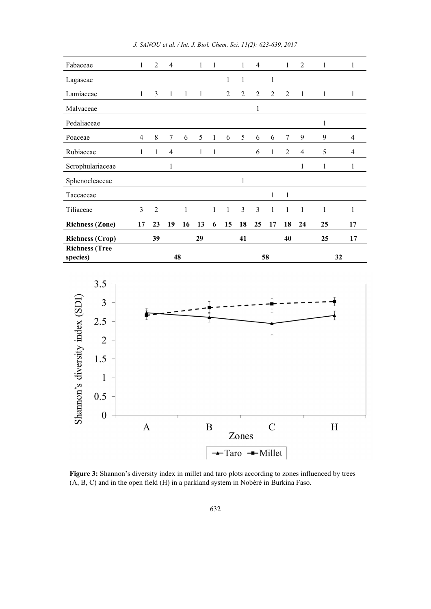| Fabaceae                                | 1  | 2              | $\overline{4}$ |    | $\mathbf{1}$ | 1            |                | 1  | $\overline{4}$ |                | 1              | 2              | 1  | 1  |
|-----------------------------------------|----|----------------|----------------|----|--------------|--------------|----------------|----|----------------|----------------|----------------|----------------|----|----|
| Lagascae                                |    |                |                |    |              |              | 1              | 1  |                | 1              |                |                |    |    |
| Lamiaceae                               | 1  | 3              | 1              | 1  | 1            |              | $\overline{2}$ | 2  | $\overline{2}$ | $\overline{2}$ | 2              | 1              | 1  | 1  |
| Malvaceae                               |    |                |                |    |              |              |                |    | $\mathbf{1}$   |                |                |                |    |    |
| Pedaliaceae                             |    |                |                |    |              |              |                |    |                |                |                |                | 1  |    |
| Poaceae                                 | 4  | 8              | $\overline{7}$ | 6  | 5            | 1            | 6              | 5  | 6              | 6              | 7              | 9              | 9  | 4  |
| Rubiaceae                               | 1  | 1              | 4              |    | $\mathbf{1}$ | $\mathbf{1}$ |                |    | 6              | 1              | $\overline{2}$ | $\overline{4}$ | 5  | 4  |
| Scrophulariaceae                        |    |                | 1              |    |              |              |                |    |                |                |                | 1              | 1  | 1  |
| Sphenocleaceae                          |    |                |                |    |              |              |                | 1  |                |                |                |                |    |    |
| Taccaceae                               |    |                |                |    |              |              |                |    |                | 1              | 1              |                |    |    |
| Tiliaceae                               | 3  | $\overline{2}$ |                | 1  |              | $\mathbf{1}$ | $\mathbf{1}$   | 3  | 3              | $\mathbf{1}$   | 1              | 1              | 1  | 1  |
| <b>Richness (Zone)</b>                  | 17 | 23             | 19             | 16 | 13           | 6            | 15             | 18 | 25             | 17             | 18             | 24             | 25 | 17 |
| <b>Richness (Crop)</b>                  |    | 39             |                |    | 29           |              |                | 41 |                |                | 40             |                | 25 | 17 |
| <b>Richness (Tree</b><br>48<br>species) |    |                | 58             |    |              |              |                | 32 |                |                |                |                |    |    |

*J. SANOU et al. / Int. J. Biol. Chem. Sci. 11(2): 623-639, 2017*



Figure 3: Shannon's diversity index in millet and taro plots according to zones influenced by trees (A, B, C) and in the open field (H) in a parkland system in Nobéré in Burkina Faso.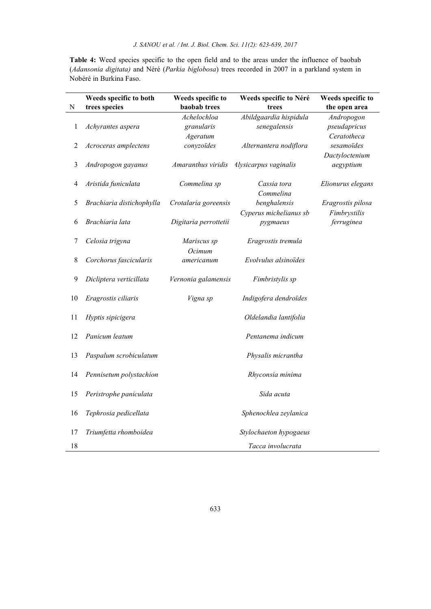Table 4: Weed species specific to the open field and to the areas under the influence of baobab (*Adansonia digitata)* and Néré (*Parkia biglobosa*) trees recorded in 2007 in a parkland system in Nobéré in Burkina Faso.

| $\mathbf N$ | Weeds specific to both<br>trees species | Weeds specific to<br>baobab trees | Weeds specific to Néré<br>trees | Weeds specific to<br>the open area |
|-------------|-----------------------------------------|-----------------------------------|---------------------------------|------------------------------------|
|             |                                         | Achelochloa                       | Abildgaardia hispidula          | Andropogon                         |
| 1           | Achyrantes aspera                       | granularis                        | senegalensis                    | pseudapricus                       |
|             |                                         | Ageratum                          |                                 | Ceratotheca                        |
| 2           | Acroceras amplectens                    | conyzoïdes                        | Alternantera nodiflora          | sesamoïdes                         |
|             |                                         |                                   |                                 | Dactyloctenium                     |
| 3           | Andropogon gayanus                      | Amaranthus viridis                | <i>Alysicarpus vaginalis</i>    | aegyptium                          |
| 4           | Aristida funiculata                     | Commelina sp                      | Cassia tora                     | Elionurus elegans                  |
|             |                                         |                                   | Commelina                       |                                    |
| 5           | Brachiaria distichophylla               | Crotalaria goreensis              | benghalensis                    | Eragrostis pilosa                  |
|             |                                         |                                   | Cyperus michelianus sb          | Fimbrystilis                       |
| 6           | Brachiaria lata                         | Digitaria perrottetii             | pygmaeus                        | ferruginea                         |
| 7           | Celosia trigyna                         | Mariscus sp                       | Eragrostis tremula              |                                    |
|             |                                         | Ocimum                            |                                 |                                    |
| $\,$ 8 $\,$ | Corchorus fascicularis                  | americanum                        | Evolvulus alsinoïdes            |                                    |
| 9           | Dicliptera verticillata                 | Vernonia galamensis               | Fimbristylis sp                 |                                    |
| 10          | Eragrostis ciliaris                     | Vigna sp                          | Indigofera dendroïdes           |                                    |
| 11          | Hyptis sipicigera                       |                                   | Oldelandia lantifolia           |                                    |
| 12          | Panicum leatum                          |                                   | Pentanema indicum               |                                    |
| 13          | Paspalum scrobiculatum                  |                                   | Physalis micrantha              |                                    |
| 14          | Pennisetum polystachion                 |                                   | Rhyconsia minima                |                                    |
| 15          | Peristrophe paniculata                  |                                   | Sida acuta                      |                                    |
| 16          | Tephrosia pedicellata                   |                                   | Sphenochlea zeylanica           |                                    |
| 17          | Triumfetta rhomboidea                   |                                   | Stylochaeton hypogaeus          |                                    |
| 18          |                                         |                                   | Tacca involucrata               |                                    |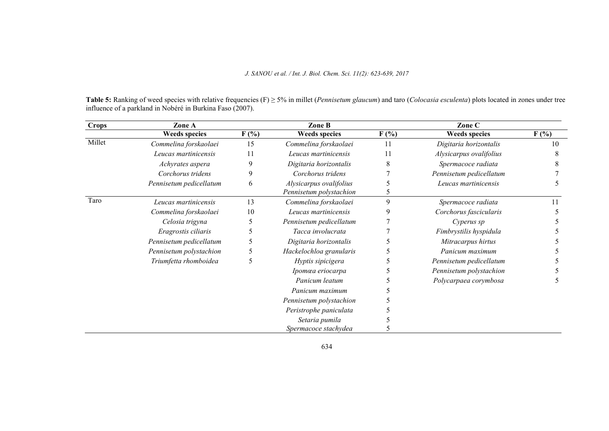Table 5: Ranking of weed species with relative frequencies (F) ≥ 5% in millet (*Pennisetum glaucum*) and taro (*Colocasia esculenta*) plots located in zones under tree influence of a parkland in Nobéré in Burkina Faso (2007).

| <b>Crops</b> | Zone A                  |               | Zone B                  |         | Zone C                  |         |  |  |
|--------------|-------------------------|---------------|-------------------------|---------|-------------------------|---------|--|--|
|              | <b>Weeds species</b>    | $F(\%)$       | <b>Weeds species</b>    | $F(\%)$ | <b>Weeds species</b>    | $F(\%)$ |  |  |
| Millet       | Commelina forskaolaei   | 15            | Commelina forskaolaei   | 11      | Digitaria horizontalis  | 10      |  |  |
|              | Leucas martinicensis    | 11            | Leucas martinicensis    | 11      | Alysicarpus ovalifolius |         |  |  |
|              | Achyrates aspera        | 9             | Digitaria horizontalis  |         | Spermacoce radiata      |         |  |  |
|              | Corchorus tridens       | 9             | Corchorus tridens       |         | Pennisetum pedicellatum |         |  |  |
|              | Pennisetum pedicellatum | 6             | Alysicarpus ovalifolius |         | Leucas martinicensis    |         |  |  |
|              |                         |               | Pennisetum polystachion |         |                         |         |  |  |
| Taro         | Leucas martinicensis    | 13            | Commelina forskaolaei   | 9       | Spermacoce radiata      |         |  |  |
|              | Commelina forskaolaei   | 10            | Leucas martinicensis    |         | Corchorus fascicularis  |         |  |  |
|              | Celosia trigyna         |               | Pennisetum pedicellatum |         | Cyperus sp              |         |  |  |
|              | Eragrostis ciliaris     |               | Tacca involucrata       |         | Fimbrystilis hyspidula  |         |  |  |
|              | Pennisetum pedicellatum |               | Digitaria horizontalis  |         | Mitracarpus hirtus      |         |  |  |
|              | Pennisetum polystachion |               | Hackelochloa granularis |         | Panicum maximum         |         |  |  |
|              | Triumfetta rhomboidea   | $\mathcal{D}$ | Hyptis sipicigera       |         | Pennisetum pedicellatum |         |  |  |
|              |                         |               | Ipomœa eriocarpa        |         | Pennisetum polystachion |         |  |  |
|              |                         |               | Panicum leatum          |         | Polycarpaea corymbosa   |         |  |  |
|              |                         |               | Panicum maximum         |         |                         |         |  |  |
|              |                         |               | Pennisetum polystachion |         |                         |         |  |  |
|              |                         |               | Peristrophe paniculata  |         |                         |         |  |  |
|              |                         |               | Setaria pumila          |         |                         |         |  |  |
|              |                         |               | Spermacoce stachydea    |         |                         |         |  |  |

634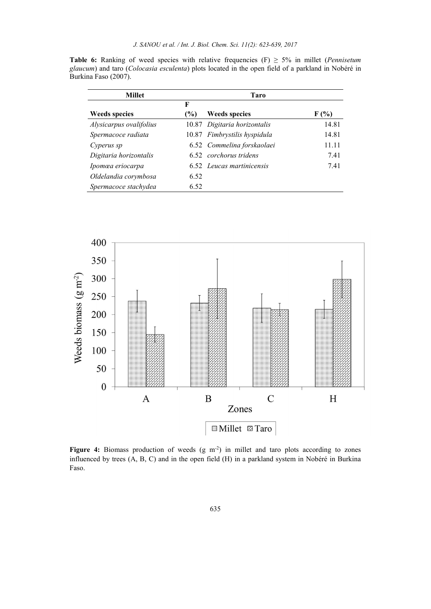Table 6: Ranking of weed species with relative frequencies  $(F) \geq 5\%$  in millet (*Pennisetum glaucum*) and taro (*Colocasia esculenta*) plots located in the open field of a parkland in Nobéré in Burkina Faso (2007).

| <b>Millet</b>           | Taro |                              |         |  |  |  |  |  |
|-------------------------|------|------------------------------|---------|--|--|--|--|--|
|                         | F    |                              |         |  |  |  |  |  |
| <b>Weeds species</b>    | $\%$ | <b>Weeds species</b>         | $F(\%)$ |  |  |  |  |  |
| Alysicarpus ovalifolius |      | 10.87 Digitaria horizontalis | 14.81   |  |  |  |  |  |
| Spermacoce radiata      |      | 10.87 Fimbrystilis hyspidula | 14.81   |  |  |  |  |  |
| Cyperus sp              |      | 6.52 Commelina forskaolaei   | 11.11   |  |  |  |  |  |
| Digitaria horizontalis  |      | 6.52 corchorus tridens       | 7.41    |  |  |  |  |  |
| Ipomœa eriocarpa        |      | 6.52 Leucas martinicensis    | 7.41    |  |  |  |  |  |
| Oldelandia corymbosa    | 6.52 |                              |         |  |  |  |  |  |
| Spermacoce stachydea    | 6.52 |                              |         |  |  |  |  |  |



Figure 4: Biomass production of weeds  $(g m<sup>2</sup>)$  in millet and taro plots according to zones influenced by trees (A, B, C) and in the open field (H) in a parkland system in Nobéré in Burkina Faso.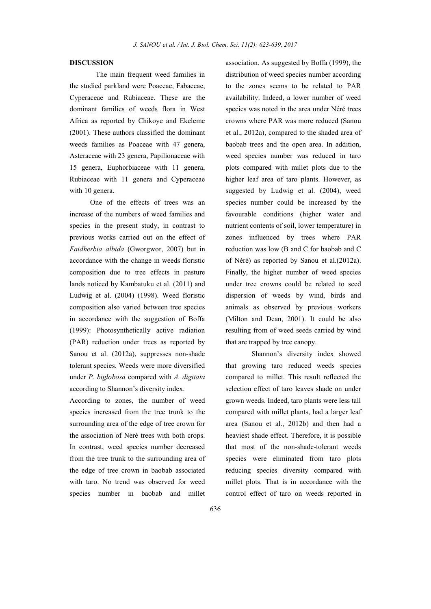## DISCUSSION

The main frequent weed families in the studied parkland were Poaceae, Fabaceae, Cyperaceae and Rubiaceae. These are the dominant families of weeds flora in West Africa as reported by Chikoye and Ekeleme (2001). These authors classified the dominant weeds families as Poaceae with 47 genera, Asteraceae with 23 genera, Papilionaceae with 15 genera, Euphorbiaceae with 11 genera, Rubiaceae with 11 genera and Cyperaceae with 10 genera.

One of the effects of trees was an increase of the numbers of weed families and species in the present study, in contrast to previous works carried out on the effect of *Faidherbia albida* (Gworgwor, 2007) but in accordance with the change in weeds floristic composition due to tree effects in pasture lands noticed by Kambatuku et al. (2011) and Ludwig et al. (2004) (1998). Weed floristic composition also varied between tree species in accordance with the suggestion of Boffa (1999): Photosynthetically active radiation (PAR) reduction under trees as reported by Sanou et al. (2012a), suppresses non-shade tolerant species. Weeds were more diversified under *P. biglobosa* compared with *A. digitata* according to Shannon's diversity index.

According to zones, the number of weed species increased from the tree trunk to the surrounding area of the edge of tree crown for the association of Néré trees with both crops. In contrast, weed species number decreased from the tree trunk to the surrounding area of the edge of tree crown in baobab associated with taro. No trend was observed for weed species number in baobab and millet

association. As suggested by Boffa (1999), the distribution of weed species number according to the zones seems to be related to PAR availability. Indeed, a lower number of weed species was noted in the area under Néré trees crowns where PAR was more reduced (Sanou et al., 2012a), compared to the shaded area of baobab trees and the open area. In addition, weed species number was reduced in taro plots compared with millet plots due to the higher leaf area of taro plants. However, as suggested by Ludwig et al. (2004), weed species number could be increased by the favourable conditions (higher water and nutrient contents of soil, lower temperature) in zones influenced by trees where PAR reduction was low (B and C for baobab and C of Néré) as reported by Sanou et al.(2012a). Finally, the higher number of weed species under tree crowns could be related to seed dispersion of weeds by wind, birds and animals as observed by previous workers (Milton and Dean, 2001). It could be also resulting from of weed seeds carried by wind that are trapped by tree canopy.

Shannon's diversity index showed that growing taro reduced weeds species compared to millet. This result reflected the selection effect of taro leaves shade on under grown weeds. Indeed, taro plants were less tall compared with millet plants, had a larger leaf area (Sanou et al., 2012b) and then had a heaviest shade effect. Therefore, it is possible that most of the non-shade-tolerant weeds species were eliminated from taro plots reducing species diversity compared with millet plots. That is in accordance with the control effect of taro on weeds reported in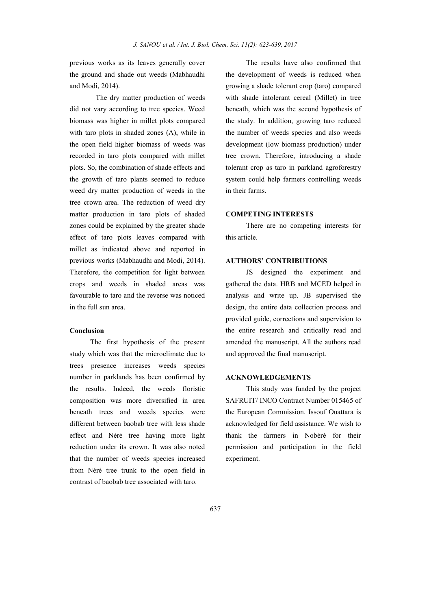previous works as its leaves generally cover the ground and shade out weeds (Mabhaudhi and Modi, 2014).

The dry matter production of weeds did not vary according to tree species. Weed biomass was higher in millet plots compared with taro plots in shaded zones (A), while in the open field higher biomass of weeds was recorded in taro plots compared with millet plots. So, the combination of shade effects and the growth of taro plants seemed to reduce weed dry matter production of weeds in the tree crown area. The reduction of weed dry matter production in taro plots of shaded zones could be explained by the greater shade effect of taro plots leaves compared with millet as indicated above and reported in previous works (Mabhaudhi and Modi, 2014). Therefore, the competition for light between crops and weeds in shaded areas was favourable to taro and the reverse was noticed in the full sun area.

### Conclusion

The first hypothesis of the present study which was that the microclimate due to trees presence increases weeds species number in parklands has been confirmed by the results. Indeed, the weeds floristic composition was more diversified in area beneath trees and weeds species were different between baobab tree with less shade effect and Néré tree having more light reduction under its crown. It was also noted that the number of weeds species increased from Néré tree trunk to the open field in contrast of baobab tree associated with taro.

The results have also confirmed that the development of weeds is reduced when growing a shade tolerant crop (taro) compared with shade intolerant cereal (Millet) in tree beneath, which was the second hypothesis of the study. In addition, growing taro reduced the number of weeds species and also weeds development (low biomass production) under tree crown. Therefore, introducing a shade tolerant crop as taro in parkland agroforestry system could help farmers controlling weeds in their farms.

## COMPETING INTERESTS

There are no competing interests for this article.

## AUTHORS' CONTRIBUTIONS

JS designed the experiment and gathered the data. HRB and MCED helped in analysis and write up. JB supervised the design, the entire data collection process and provided guide, corrections and supervision to the entire research and critically read and amended the manuscript. All the authors read and approved the final manuscript.

### ACKNOWLEDGEMENTS

This study was funded by the project SAFRUIT/ INCO Contract Number 015465 of the European Commission. Issouf Ouattara is acknowledged for field assistance. We wish to thank the farmers in Nobéré for their permission and participation in the field experiment.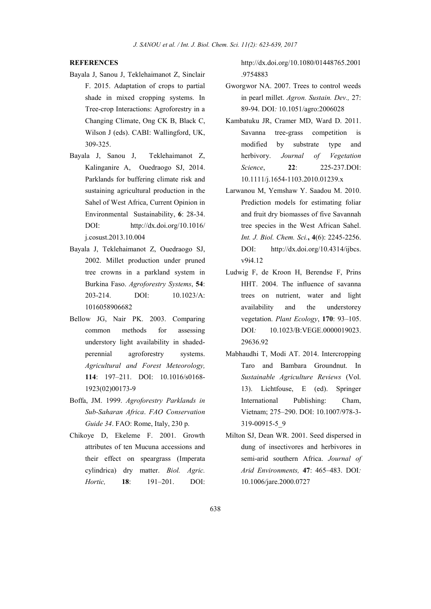## **REFERENCES**

- Bayala J, Sanou J, Teklehaimanot Z, Sinclair F. 2015. Adaptation of crops to partial shade in mixed cropping systems. In Tree-crop Interactions: Agroforestry in a Changing Climate, Ong CK B, Black C, Wilson J (eds). CABI: Wallingford, UK, 309-325.
- Bayala J, Sanou J, Teklehaimanot Z, Kalinganire A, Ouedraogo SJ, 2014. Parklands for buffering climate risk and sustaining agricultural production in the Sahel of West Africa, Current Opinion in Environmental Sustainability, 6: 28-34. DOI: http://dx.doi.org/10.1016/ j.cosust.2013.10.004
- Bayala J, Teklehaimanot Z, Ouedraogo SJ, 2002. Millet production under pruned tree crowns in a parkland system in Burkina Faso. *Agroforestry Systems*, 54: 203-214. DOI: 10.1023/A: 1016058906682
- Bellow JG, Nair PK. 2003. Comparing common methods for assessing understory light availability in shadedperennial agroforestry systems. *Agricultural and Forest Meteorology,* 114: 197–211. DOI: 10.1016/s0168- 1923(02)00173-9
- Boffa, JM. 1999. *Agroforestry Parklands in Sub-Saharan Africa*. *FAO Conservation Guide 34*. FAO: Rome, Italy, 230 p.
- Chikoye D, Ekeleme F. 2001. Growth attributes of ten Mucuna accessions and their effect on speargrass (Imperata cylindrica) dry matter. *Biol. Agric. Hortic,* 18: 191–201. DOI:

http://dx.doi.org/10.1080/01448765.2001 .9754883

- Gworgwor NA. 2007. Trees to control weeds in pearl millet. *Agron. Sustain. Dev.,* 27: 89-94. DOI*:* 10.1051/agro:2006028
- Kambatuku JR, Cramer MD, Ward D. 2011. Savanna tree-grass competition is modified by substrate type and herbivory. *Journal of Vegetation Science*, 22: 225-237.DOI: 10.1111/j.1654-1103.2010.01239.x
- Larwanou M, Yemshaw Y. Saadou M. 2010. Prediction models for estimating foliar and fruit dry biomasses of five Savannah tree species in the West African Sahel. *Int. J. Biol. Chem. Sci.*, 4(6): 2245-2256. DOI: http://dx.doi.org/10.4314/ijbcs. v9i4.12
- Ludwig F, de Kroon H, Berendse F, Prins HHT. 2004. The influence of savanna trees on nutrient, water and light availability and the understorey vegetation. *Plant Ecology*, 170: 93–105. DOI*:* 10.1023/B:VEGE.0000019023. 29636.92
- Mabhaudhi T, Modi AT. 2014. Intercropping Taro and Bambara Groundnut. In *Sustainable Agriculture Reviews* (Vol. 13). Lichtfouse, E (ed). Springer International Publishing: Cham, Vietnam; 275–290. DOI: 10.1007/978-3- 319-00915-5\_9
- Milton SJ, Dean WR. 2001. Seed dispersed in dung of insectivores and herbivores in semi-arid southern Africa. *Journal of Arid Environments,* 47: 465–483. DOI*:* 10.1006/jare.2000.0727